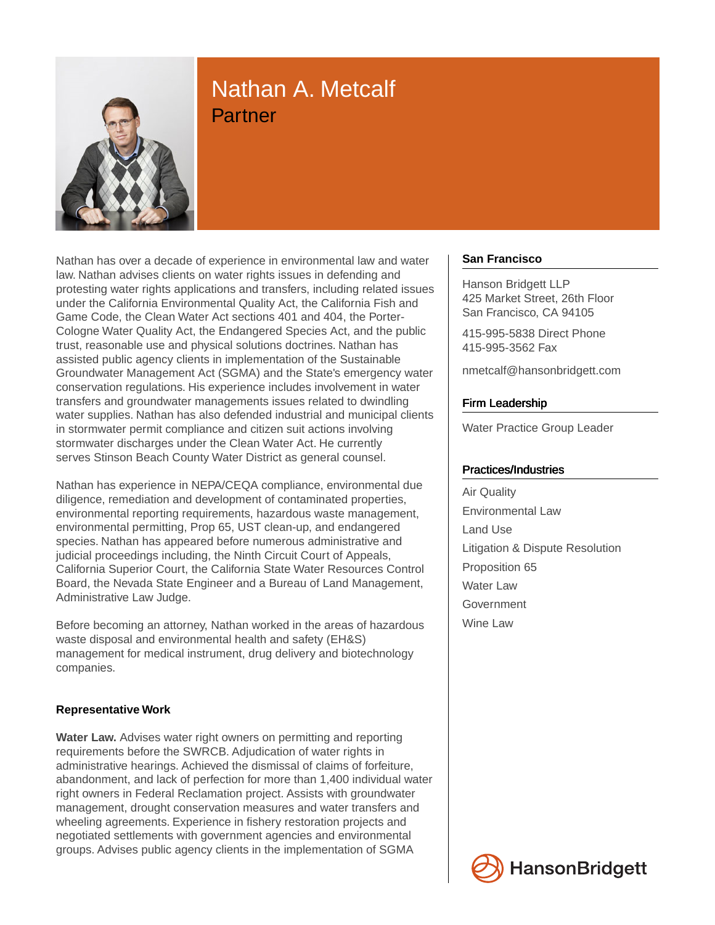

# Nathan A. Metcalf **Partner**

Nathan has over a decade of experience in environmental law and water law. Nathan advises clients on water rights issues in defending and protesting water rights applications and transfers, including related issues under the California Environmental Quality Act, the California Fish and Game Code, the Clean Water Act sections 401 and 404, the Porter-Cologne Water Quality Act, the Endangered Species Act, and the public trust, reasonable use and physical solutions doctrines. Nathan has assisted public agency clients in implementation of the Sustainable Groundwater Management Act (SGMA) and the State's emergency water conservation regulations. His experience includes involvement in water transfers and groundwater managements issues related to dwindling water supplies. Nathan has also defended industrial and municipal clients in stormwater permit compliance and citizen suit actions involving stormwater discharges under the Clean Water Act. He currently serves Stinson Beach County Water District as general counsel.

Nathan has experience in NEPA/CEQA compliance, environmental due diligence, remediation and development of contaminated properties, environmental reporting requirements, hazardous waste management, environmental permitting, Prop 65, UST clean-up, and endangered species. Nathan has appeared before numerous administrative and judicial proceedings including, the Ninth Circuit Court of Appeals, California Superior Court, the California State Water Resources Control Board, the Nevada State Engineer and a Bureau of Land Management, Administrative Law Judge.

Before becoming an attorney, Nathan worked in the areas of hazardous waste disposal and environmental health and safety (EH&S) management for medical instrument, drug delivery and biotechnology companies.

# **Representative Work**

**Water Law.** Advises water right owners on permitting and reporting requirements before the SWRCB. Adjudication of water rights in administrative hearings. Achieved the dismissal of claims of forfeiture, abandonment, and lack of perfection for more than 1,400 individual water right owners in Federal Reclamation project. Assists with groundwater management, drought conservation measures and water transfers and wheeling agreements. Experience in fishery restoration projects and negotiated settlements with government agencies and environmental groups. Advises public agency clients in the implementation of SGMA

## **San Francisco**

Hanson Bridgett LLP 425 Market Street, 26th Floor San Francisco, CA 94105

415-995-5838 Direct Phone 415-995-3562 Fax

nmetcalf@hansonbridgett.com

## Firm Leadership

Water Practice Group Leader

### Practices/Industries

Air Quality Environmental Law Land Use Litigation & Dispute Resolution Proposition 65 Water Law **Government** Wine Law

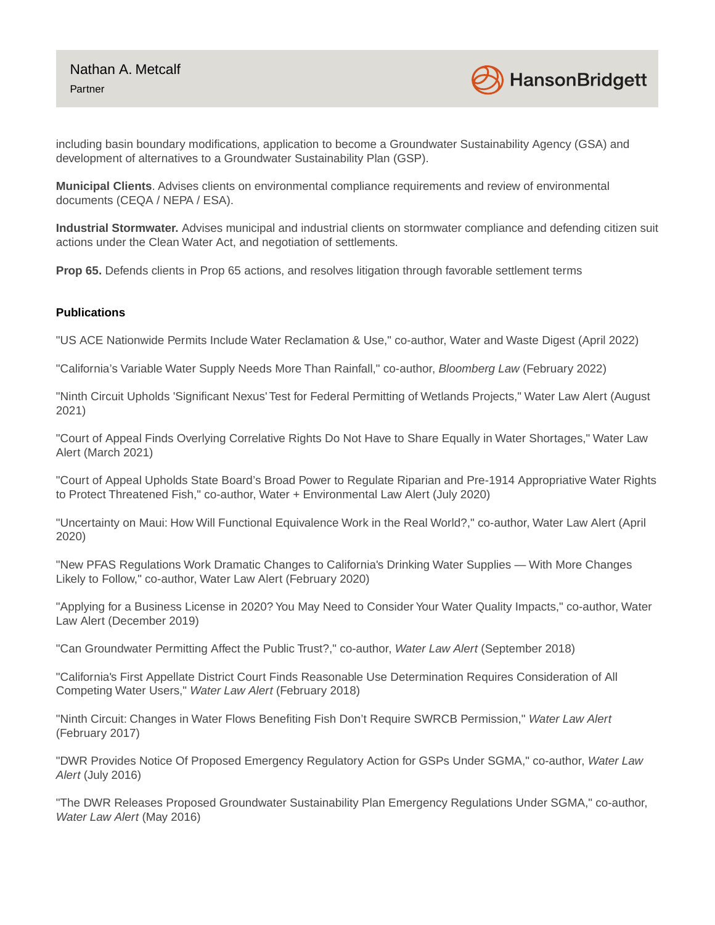

including basin boundary modifications, application to become a Groundwater Sustainability Agency (GSA) and development of alternatives to a Groundwater Sustainability Plan (GSP).

**Municipal Clients**. Advises clients on environmental compliance requirements and review of environmental documents (CEQA / NEPA / ESA).

**Industrial Stormwater.** Advises municipal and industrial clients on stormwater compliance and defending citizen suit actions under the Clean Water Act, and negotiation of settlements.

**Prop 65.** Defends clients in Prop 65 actions, and resolves litigation through favorable settlement terms

### **Publications**

"US ACE Nationwide Permits Include Water Reclamation & Use," co-author, Water and Waste Digest (April 2022)

"California's Variable Water Supply Needs More Than Rainfall," co-author, Bloomberg Law (February 2022)

"Ninth Circuit Upholds 'Significant Nexus' Test for Federal Permitting of Wetlands Projects," Water Law Alert (August 2021)

"Court of Appeal Finds Overlying Correlative Rights Do Not Have to Share Equally in Water Shortages," Water Law Alert (March 2021)

"Court of Appeal Upholds State Board's Broad Power to Regulate Riparian and Pre-1914 Appropriative Water Rights to Protect Threatened Fish," co-author, Water + Environmental Law Alert (July 2020)

"Uncertainty on Maui: How Will Functional Equivalence Work in the Real World?," co-author, Water Law Alert (April 2020)

"New PFAS Regulations Work Dramatic Changes to California's Drinking Water Supplies — With More Changes Likely to Follow," co-author, Water Law Alert (February 2020)

"Applying for a Business License in 2020? You May Need to Consider Your Water Quality Impacts," co-author, Water Law Alert (December 2019)

"Can Groundwater Permitting Affect the Public Trust?," co-author, Water Law Alert (September 2018)

"California's First Appellate District Court Finds Reasonable Use Determination Requires Consideration of All Competing Water Users," Water Law Alert (February 2018)

"Ninth Circuit: Changes in Water Flows Benefiting Fish Don't Require SWRCB Permission," Water Law Alert (February 2017)

"DWR Provides Notice Of Proposed Emergency Regulatory Action for GSPs Under SGMA," co-author, Water Law Alert (July 2016)

"The DWR Releases Proposed Groundwater Sustainability Plan Emergency Regulations Under SGMA," co-author, Water Law Alert (May 2016)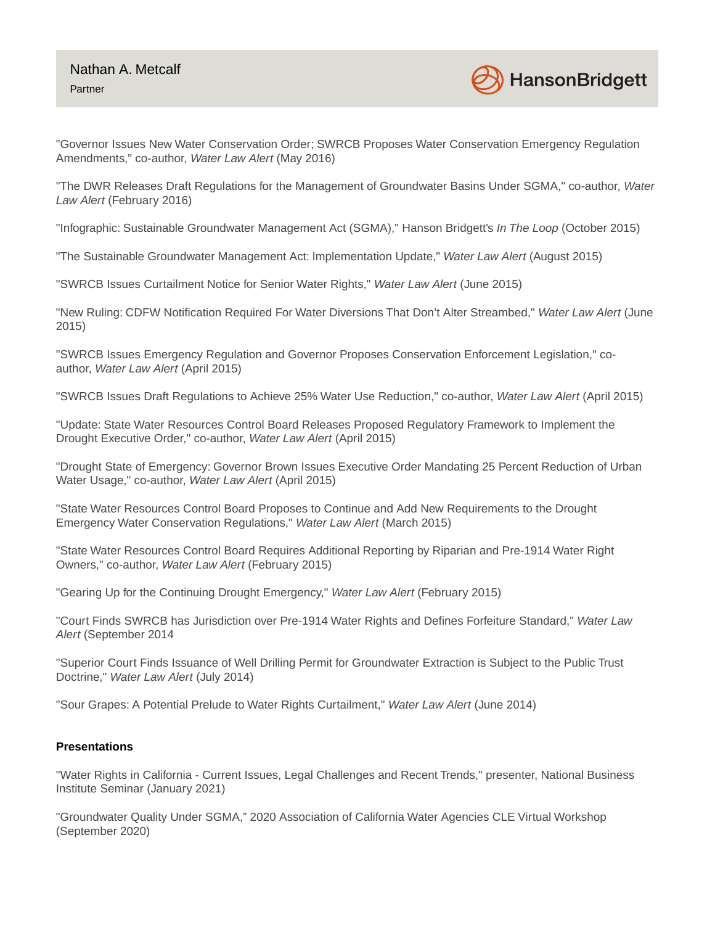

"Governor Issues New Water Conservation Order; SWRCB Proposes Water Conservation Emergency Regulation Amendments," co-author, Water Law Alert (May 2016)

"The DWR Releases Draft Regulations for the Management of Groundwater Basins Under SGMA," co-author, Water Law Alert (February 2016)

"Infographic: Sustainable Groundwater Management Act (SGMA)," Hanson Bridgett's In The Loop (October 2015)

"The Sustainable Groundwater Management Act: Implementation Update," Water Law Alert (August 2015)

"SWRCB Issues Curtailment Notice for Senior Water Rights," Water Law Alert (June 2015)

"New Ruling: CDFW Notification Required For Water Diversions That Don't Alter Streambed," Water Law Alert (June 2015)

"SWRCB Issues Emergency Regulation and Governor Proposes Conservation Enforcement Legislation," coauthor, Water Law Alert (April 2015)

"SWRCB Issues Draft Regulations to Achieve 25% Water Use Reduction," co-author, Water Law Alert (April 2015)

"Update: State Water Resources Control Board Releases Proposed Regulatory Framework to Implement the Drought Executive Order," co-author, Water Law Alert (April 2015)

"Drought State of Emergency: Governor Brown Issues Executive Order Mandating 25 Percent Reduction of Urban Water Usage," co-author, Water Law Alert (April 2015)

"State Water Resources Control Board Proposes to Continue and Add New Requirements to the Drought Emergency Water Conservation Regulations," Water Law Alert (March 2015)

"State Water Resources Control Board Requires Additional Reporting by Riparian and Pre-1914 Water Right Owners," co-author, Water Law Alert (February 2015)

"Gearing Up for the Continuing Drought Emergency," Water Law Alert (February 2015)

"Court Finds SWRCB has Jurisdiction over Pre-1914 Water Rights and Defines Forfeiture Standard," Water Law Alert (September 2014

"Superior Court Finds Issuance of Well Drilling Permit for Groundwater Extraction is Subject to the Public Trust Doctrine," Water Law Alert (July 2014)

"Sour Grapes: A Potential Prelude to Water Rights Curtailment," Water Law Alert (June 2014)

#### **Presentations**

"Water Rights in California - Current Issues, Legal Challenges and Recent Trends," presenter, National Business Institute Seminar (January 2021)

"Groundwater Quality Under SGMA," 2020 Association of California Water Agencies CLE Virtual Workshop (September 2020)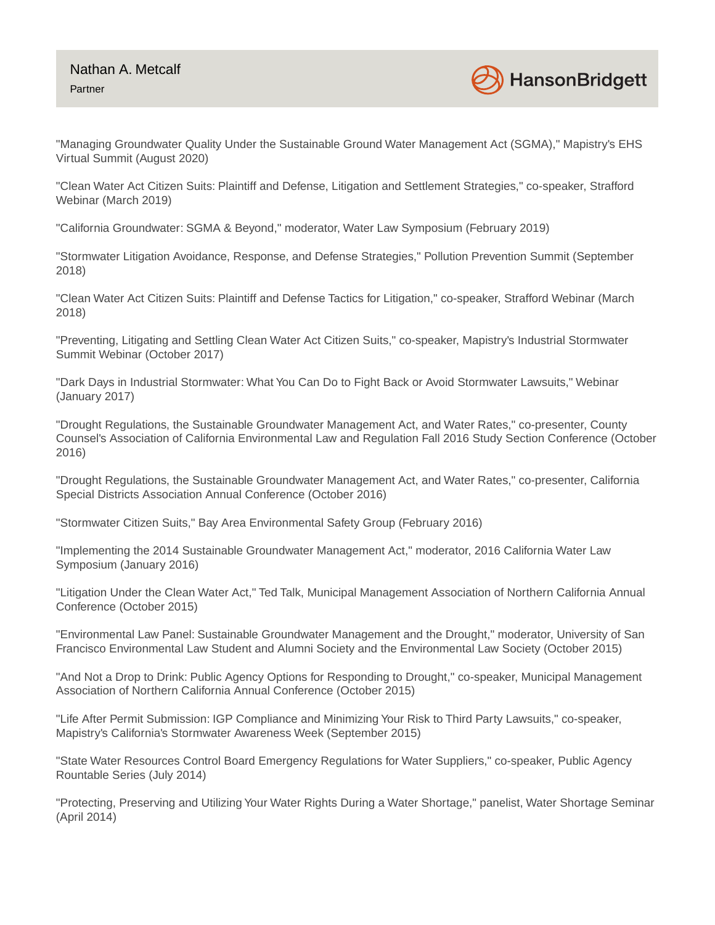

"Managing Groundwater Quality Under the Sustainable Ground Water Management Act (SGMA)," Mapistry's EHS Virtual Summit (August 2020)

"Clean Water Act Citizen Suits: Plaintiff and Defense, Litigation and Settlement Strategies," co-speaker, Strafford Webinar (March 2019)

"California Groundwater: SGMA & Beyond," moderator, Water Law Symposium (February 2019)

"Stormwater Litigation Avoidance, Response, and Defense Strategies," Pollution Prevention Summit (September 2018)

"Clean Water Act Citizen Suits: Plaintiff and Defense Tactics for Litigation," co-speaker, Strafford Webinar (March 2018)

"Preventing, Litigating and Settling Clean Water Act Citizen Suits," co-speaker, Mapistry's Industrial Stormwater Summit Webinar (October 2017)

"Dark Days in Industrial Stormwater: What You Can Do to Fight Back or Avoid Stormwater Lawsuits," Webinar (January 2017)

"Drought Regulations, the Sustainable Groundwater Management Act, and Water Rates," co-presenter, County Counsel's Association of California Environmental Law and Regulation Fall 2016 Study Section Conference (October 2016)

"Drought Regulations, the Sustainable Groundwater Management Act, and Water Rates," co-presenter, California Special Districts Association Annual Conference (October 2016)

"Stormwater Citizen Suits," Bay Area Environmental Safety Group (February 2016)

"Implementing the 2014 Sustainable Groundwater Management Act," moderator, 2016 California Water Law Symposium (January 2016)

"Litigation Under the Clean Water Act," Ted Talk, Municipal Management Association of Northern California Annual Conference (October 2015)

"Environmental Law Panel: Sustainable Groundwater Management and the Drought," moderator, University of San Francisco Environmental Law Student and Alumni Society and the Environmental Law Society (October 2015)

"And Not a Drop to Drink: Public Agency Options for Responding to Drought," co-speaker, Municipal Management Association of Northern California Annual Conference (October 2015)

"Life After Permit Submission: IGP Compliance and Minimizing Your Risk to Third Party Lawsuits," co-speaker, Mapistry's California's Stormwater Awareness Week (September 2015)

"State Water Resources Control Board Emergency Regulations for Water Suppliers," co-speaker, Public Agency Rountable Series (July 2014)

"Protecting, Preserving and Utilizing Your Water Rights During a Water Shortage," panelist, Water Shortage Seminar (April 2014)